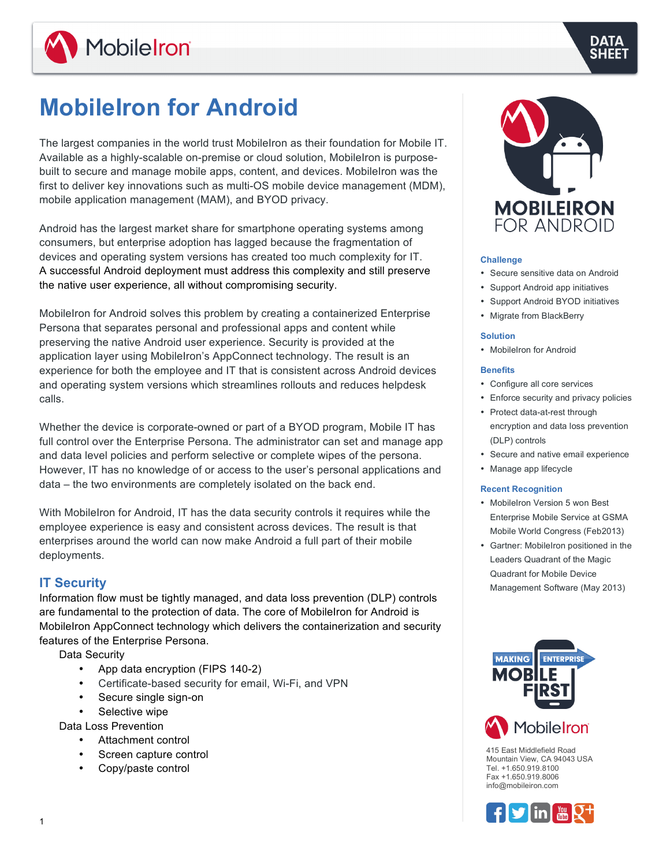

# **MobileIron for Android**

The largest companies in the world trust MobileIron as their foundation for Mobile IT. Available as a highly-scalable on-premise or cloud solution, MobileIron is purposebuilt to secure and manage mobile apps, content, and devices. MobileIron was the first to deliver key innovations such as multi-OS mobile device management (MDM), mobile application management (MAM), and BYOD privacy.

Android has the largest market share for smartphone operating systems among consumers, but enterprise adoption has lagged because the fragmentation of devices and operating system versions has created too much complexity for IT. A successful Android deployment must address this complexity and still preserve the native user experience, all without compromising security.

MobileIron for Android solves this problem by creating a containerized Enterprise Persona that separates personal and professional apps and content while preserving the native Android user experience. Security is provided at the application layer using MobileIron's AppConnect technology. The result is an experience for both the employee and IT that is consistent across Android devices and operating system versions which streamlines rollouts and reduces helpdesk calls.

Whether the device is corporate-owned or part of a BYOD program, Mobile IT has full control over the Enterprise Persona. The administrator can set and manage app and data level policies and perform selective or complete wipes of the persona. However, IT has no knowledge of or access to the user's personal applications and data – the two environments are completely isolated on the back end.

With MobileIron for Android, IT has the data security controls it requires while the employee experience is easy and consistent across devices. The result is that enterprises around the world can now make Android a full part of their mobile deployments.

## **IT Security**

Information flow must be tightly managed, and data loss prevention (DLP) controls are fundamental to the protection of data. The core of MobileIron for Android is MobileIron AppConnect technology which delivers the containerization and security features of the Enterprise Persona.

Data Security

- App data encryption (FIPS 140-2)
- Certificate-based security for email, Wi-Fi, and VPN
- Secure single sign-on
- Selective wipe

Data Loss Prevention

- Attachment control
- Screen capture control
- Copy/paste control



### **Challenge**

- Secure sensitive data on Android
- Support Android app initiatives
- Support Android BYOD initiatives
- Migrate from BlackBerry

### **Solution**

• MobileIron for Android

## **Benefits**

- Configure all core services
- Enforce security and privacy policies
- Protect data-at-rest through encryption and data loss prevention (DLP) controls
- Secure and native email experience
- Manage app lifecycle

#### **Recent Recognition**

- MobileIron Version 5 won Best Enterprise Mobile Service at GSMA Mobile World Congress (Feb2013)
- Gartner: MobileIron positioned in the Leaders Quadrant of the Magic Quadrant for Mobile Device Management Software (May 2013)



415 East Middlefield Road Mountain View, CA 94043 USA Tel. +1.650.919.8100 Fax +1.650.919.8006 info@mobileiron.com

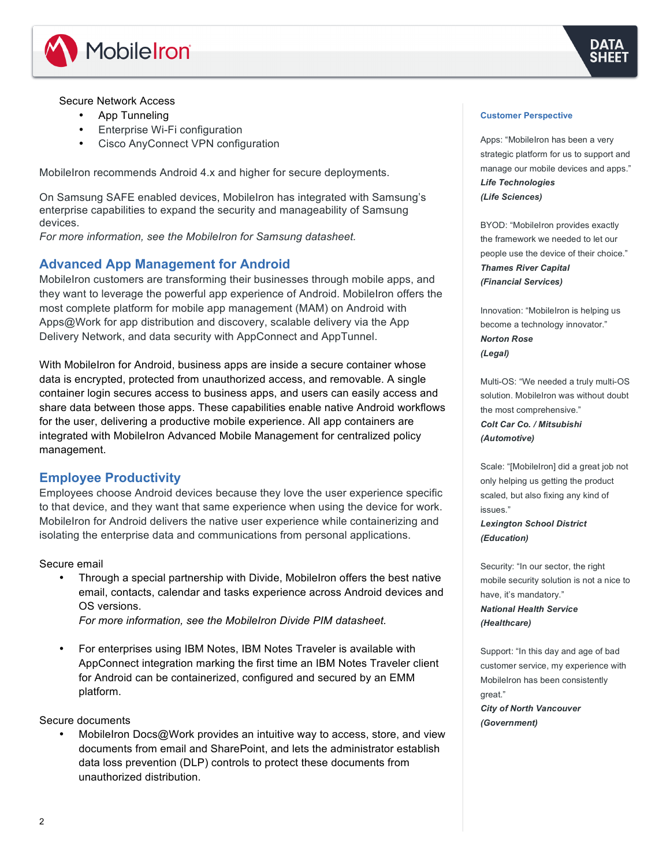



## Secure Network Access

- App Tunneling
- Enterprise Wi-Fi configuration
- Cisco AnyConnect VPN configuration

MobileIron recommends Android 4.x and higher for secure deployments.

On Samsung SAFE enabled devices, MobileIron has integrated with Samsung's enterprise capabilities to expand the security and manageability of Samsung devices.

*For more information, see the MobileIron for Samsung datasheet.*

## **Advanced App Management for Android**

MobileIron customers are transforming their businesses through mobile apps, and they want to leverage the powerful app experience of Android. MobileIron offers the most complete platform for mobile app management (MAM) on Android with Apps@Work for app distribution and discovery, scalable delivery via the App Delivery Network, and data security with AppConnect and AppTunnel.

With MobileIron for Android, business apps are inside a secure container whose data is encrypted, protected from unauthorized access, and removable. A single container login secures access to business apps, and users can easily access and share data between those apps. These capabilities enable native Android workflows for the user, delivering a productive mobile experience. All app containers are integrated with MobileIron Advanced Mobile Management for centralized policy management.

## **Employee Productivity**

Employees choose Android devices because they love the user experience specific to that device, and they want that same experience when using the device for work. MobileIron for Android delivers the native user experience while containerizing and isolating the enterprise data and communications from personal applications.

#### Secure email

• Through a special partnership with Divide, MobileIron offers the best native email, contacts, calendar and tasks experience across Android devices and OS versions.

*For more information, see the MobileIron Divide PIM datasheet.*

• For enterprises using IBM Notes, IBM Notes Traveler is available with AppConnect integration marking the first time an IBM Notes Traveler client for Android can be containerized, configured and secured by an EMM platform.

Secure documents

MobileIron Docs@Work provides an intuitive way to access, store, and view documents from email and SharePoint, and lets the administrator establish data loss prevention (DLP) controls to protect these documents from unauthorized distribution.

#### **Customer Perspective**

Apps: "MobileIron has been a very strategic platform for us to support and manage our mobile devices and apps." *Life Technologies (Life Sciences)*

BYOD: "MobileIron provides exactly the framework we needed to let our people use the device of their choice." *Thames River Capital (Financial Services)*

Innovation: "MobileIron is helping us become a technology innovator." *Norton Rose (Legal)*

Multi-OS: "We needed a truly multi-OS solution. MobileIron was without doubt the most comprehensive." *Colt Car Co. / Mitsubishi (Automotive)*

Scale: "[MobileIron] did a great job not only helping us getting the product scaled, but also fixing any kind of issues." *Lexington School District* 

*(Education)*

Security: "In our sector, the right mobile security solution is not a nice to have, it's mandatory." *National Health Service* 

#### *(Healthcare)*

Support: "In this day and age of bad customer service, my experience with MobileIron has been consistently great." *City of North Vancouver* 

*(Government)*